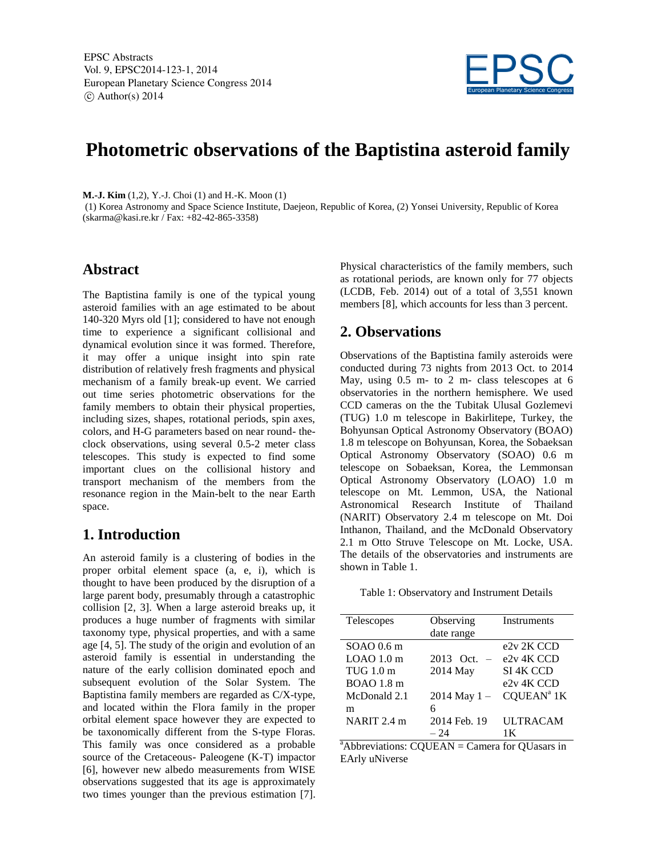

# **Photometric observations of the Baptistina asteroid family**

**M.-J. Kim** (1,2), Y.-J. Choi (1) and H.-K. Moon (1)

(1) Korea Astronomy and Space Science Institute, Daejeon, Republic of Korea, (2) Yonsei University, Republic of Korea (skarma@kasi.re.kr / Fax: +82-42-865-3358)

### **Abstract**

The Baptistina family is one of the typical young asteroid families with an age estimated to be about 140-320 Myrs old [1]; considered to have not enough time to experience a significant collisional and dynamical evolution since it was formed. Therefore, it may offer a unique insight into spin rate distribution of relatively fresh fragments and physical mechanism of a family break-up event. We carried out time series photometric observations for the family members to obtain their physical properties, including sizes, shapes, rotational periods, spin axes, colors, and H-G parameters based on near round- theclock observations, using several 0.5-2 meter class telescopes. This study is expected to find some important clues on the collisional history and transport mechanism of the members from the resonance region in the Main-belt to the near Earth space.

## **1. Introduction**

An asteroid family is a clustering of bodies in the proper orbital element space (a, e, i), which is thought to have been produced by the disruption of a large parent body, presumably through a catastrophic collision [2, 3]. When a large asteroid breaks up, it produces a huge number of fragments with similar taxonomy type, physical properties, and with a same age [4, 5]. The study of the origin and evolution of an asteroid family is essential in understanding the nature of the early collision dominated epoch and subsequent evolution of the Solar System. The Baptistina family members are regarded as C/X-type, and located within the Flora family in the proper orbital element space however they are expected to be taxonomically different from the S-type Floras. This family was once considered as a probable source of the Cretaceous- Paleogene (K-T) impactor [6], however new albedo measurements from WISE observations suggested that its age is approximately two times younger than the previous estimation [7].

Physical characteristics of the family members, such as rotational periods, are known only for 77 objects (LCDB, Feb. 2014) out of a total of 3,551 known members [8], which accounts for less than 3 percent.

## **2. Observations**

Observations of the Baptistina family asteroids were conducted during 73 nights from 2013 Oct. to 2014 May, using 0.5 m- to 2 m- class telescopes at 6 observatories in the northern hemisphere. We used CCD cameras on the the Tubitak Ulusal Gozlemevi (TUG) 1.0 m telescope in Bakirlitepe, Turkey, the Bohyunsan Optical Astronomy Observatory (BOAO) 1.8 m telescope on Bohyunsan, Korea, the Sobaeksan Optical Astronomy Observatory (SOAO) 0.6 m telescope on Sobaeksan, Korea, the Lemmonsan Optical Astronomy Observatory (LOAO) 1.0 m telescope on Mt. Lemmon, USA, the National Astronomical Research Institute of Thailand (NARIT) Observatory 2.4 m telescope on Mt. Doi Inthanon, Thailand, and the McDonald Observatory 2.1 m Otto Struve Telescope on Mt. Locke, USA. The details of the observatories and instruments are shown in Table 1.

| Table 1: Observatory and Instrument Details |  |
|---------------------------------------------|--|
|---------------------------------------------|--|

| Telescopes                                   | Observing        | Instruments                                    |
|----------------------------------------------|------------------|------------------------------------------------|
|                                              | date range       |                                                |
| $SOAO$ 0.6 m                                 |                  | e <sub>2</sub> v <sub>2</sub> K <sub>CCD</sub> |
| $LOAO$ 1.0 m                                 | 2013 Oct.        | e <sub>2v</sub> <sub>4</sub> K CCD             |
| TUG 1.0 m                                    | 2014 May         | SI 4K CCD                                      |
| BOAO 1.8 m                                   |                  | e <sub>2v</sub> <sub>4</sub> K CCD             |
| McDonald 2.1                                 | $2014$ May $1 -$ | CQUEAN <sup>a</sup> 1K                         |
| m                                            | 6                |                                                |
| NARIT 2.4 m                                  | 2014 Feb. 19     | <b>ULTRACAM</b>                                |
|                                              | $-24$            | 1 K                                            |
| .<br>$\cdots$<br>$\sim$ $\sim$ $\sim$ $\sim$ |                  | $\sim$ $\sim$ $\sim$ $\sim$                    |

 $a^*$ Abbreviations: CQUEAN = Camera for QUasars in EArly uNiverse